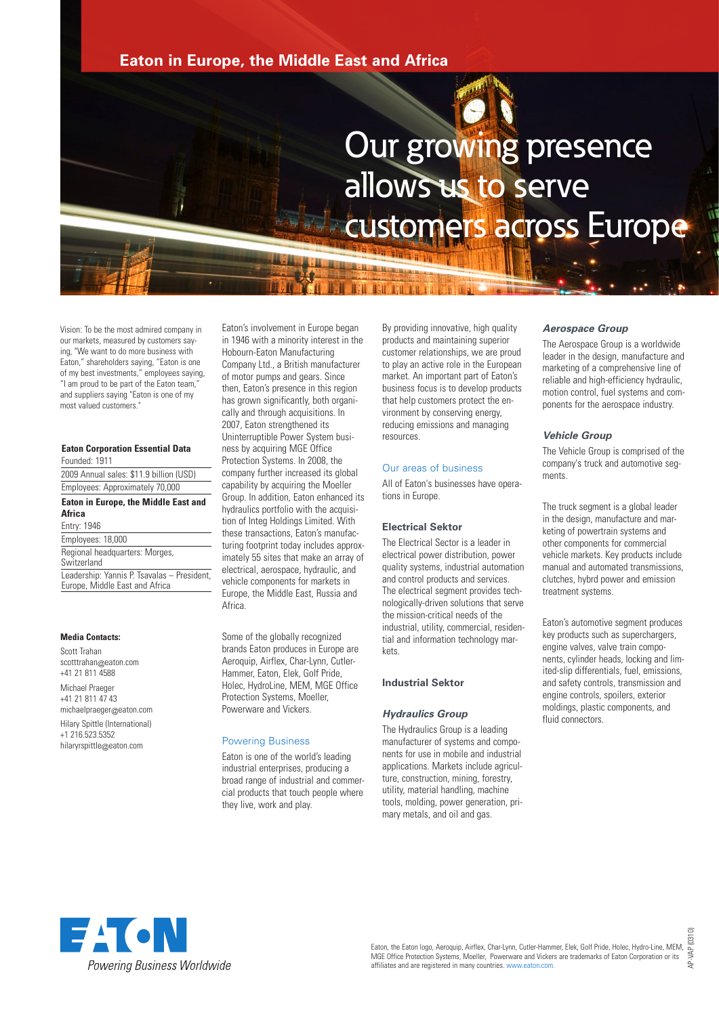# **Eaton in Europe, the Middle East and Africa**



# Our growing presence allows us to serve customers across Europe

Vision: To be the most admired company in our markets, measured by customers saying, "We want to do more business with Eaton," shareholders saying, "Eaton is one of my best investments," employees saying, "I am proud to be part of the Eaton team," and suppliers saying "Eaton is one of my most valued customers."

#### **Eaton Corporation Essential Data** Founded: 1911

2009 Annual sales: \$11.9 billion (USD) Employees: Approximately 70,000

# **Eaton in Europe, the Middle East and**

## **Africa**

Entry: 1946 Employees: 18,000 Regional headquarters: Morges, **Switzerland** Leadership: Yannis P. Tsavalas – President, Europe, Middle East and Africa

# **Media Contacts:**

Scott Trahan scotttrahan@eaton.com +41 21 811 4588

Michael Praeger +41 21 811 47 43 michaelpraeger@eaton.com Hilary Spittle (International) +1 216.523.5352 hilaryrspittle@eaton.com

Eaton's involvement in Europe began in 1946 with a minority interest in the Hobourn-Eaton Manufacturing Company Ltd., a British manufacturer of motor pumps and gears. Since then, Eaton's presence in this region has grown significantly, both organically and through acquisitions. In 2007, Eaton strengthened its Uninterruptible Power System business by acquiring MGE Office Protection Systems. In 2008, the company further increased its global capability by acquiring the Moeller Group. In addition, Eaton enhanced its hydraulics portfolio with the acquisition of Integ Holdings Limited. With these transactions, Eaton's manufacturing footprint today includes approximately 55 sites that make an array of electrical, aerospace, hydraulic, and vehicle components for markets in Europe, the Middle East, Russia and Africa.

Some of the globally recognized brands Eaton produces in Europe are Aeroquip, Airflex, Char-Lynn, Cutler-Hammer, Eaton, Elek, Golf Pride, Holec, HydroLine, MEM, MGE Office Protection Systems, Moeller, Powerware and Vickers.

#### Powering Business

Eaton is one of the world's leading industrial enterprises, producing a broad range of industrial and commercial products that touch people where they live, work and play.

By providing innovative, high quality products and maintaining superior customer relationships, we are proud to play an active role in the European market. An important part of Eaton's business focus is to develop products that help customers protect the environment by conserving energy, reducing emissions and managing resources.

# Our areas of business

All of Eaton's businesses have operations in Europe.

### **Electrical Sektor**

The Electrical Sector is a leader in electrical power distribution, power quality systems, industrial automation and control products and services. The electrical segment provides technologically-driven solutions that serve the mission-critical needs of the industrial, utility, commercial, residential and information technology markets.

#### **Industrial Sektor**

# *Hydraulics Group*

The Hydraulics Group is a leading manufacturer of systems and components for use in mobile and industrial applications. Markets include agriculture, construction, mining, forestry, utility, material handling, machine tools, molding, power generation, primary metals, and oil and gas.

#### *Aerospace Group*

The Aerospace Group is a worldwide leader in the design, manufacture and marketing of a comprehensive line of reliable and high-efficiency hydraulic, motion control, fuel systems and components for the aerospace industry.

#### *Vehicle Group*

The Vehicle Group is comprised of the company's truck and automotive segments.

The truck segment is a global leader in the design, manufacture and marketing of powertrain systems and other components for commercial vehicle markets. Key products include manual and automated transmissions, clutches, hybrd power and emission treatment systems.

Eaton's automotive segment produces key products such as superchargers, engine valves, valve train components, cylinder heads, locking and limited-slip differentials, fuel, emissions, and safety controls, transmission and engine controls, spoilers, exterior moldings, plastic components, and fluid connectors.

AP-VAP (0310)